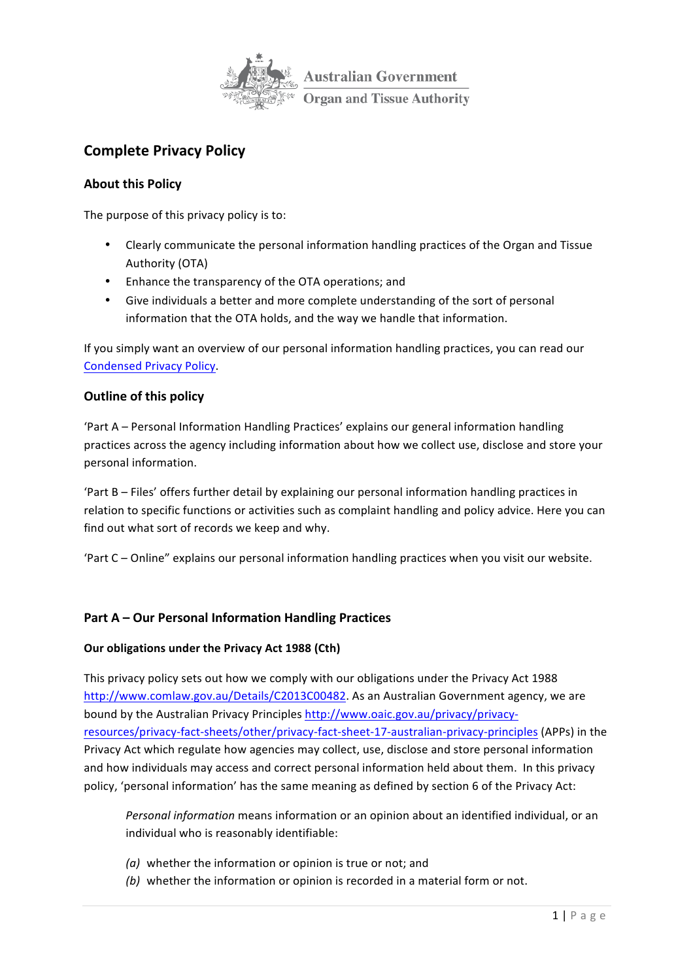

# **Complete Privacy Policy**

# **About this Policy**

The purpose of this privacy policy is to:

- Clearly communicate the personal information handling practices of the Organ and Tissue Authority (OTA)
- Enhance the transparency of the OTA operations; and
- Give individuals a better and more complete understanding of the sort of personal information that the OTA holds, and the way we handle that information.

If you simply want an overview of our personal information handling practices, you can read our Condensed Privacy Policy.

# **Outline of this policy**

'Part A – Personal Information Handling Practices' explains our general information handling practices across the agency including information about how we collect use, disclose and store your personal information.

'Part B – Files' offers further detail by explaining our personal information handling practices in relation to specific functions or activities such as complaint handling and policy advice. Here you can find out what sort of records we keep and why.

'Part C – Online" explains our personal information handling practices when you visit our website.

# **Part A – Our Personal Information Handling Practices**

### **Our obligations under the Privacy Act 1988 (Cth)**

This privacy policy sets out how we comply with our obligations under the Privacy Act 1988 http://www.comlaw.gov.au/Details/C2013C00482. As an Australian Government agency, we are bound by the Australian Privacy Principles http://www.oaic.gov.au/privacy/privacyresources/privacy-fact-sheets/other/privacy-fact-sheet-17-australian-privacy-principles (APPs) in the Privacy Act which regulate how agencies may collect, use, disclose and store personal information and how individuals may access and correct personal information held about them. In this privacy policy, 'personal information' has the same meaning as defined by section 6 of the Privacy Act:

*Personal information* means information or an opinion about an identified individual, or an individual who is reasonably identifiable:

- *(a)* whether the information or opinion is true or not; and
- *(b)* whether the information or opinion is recorded in a material form or not.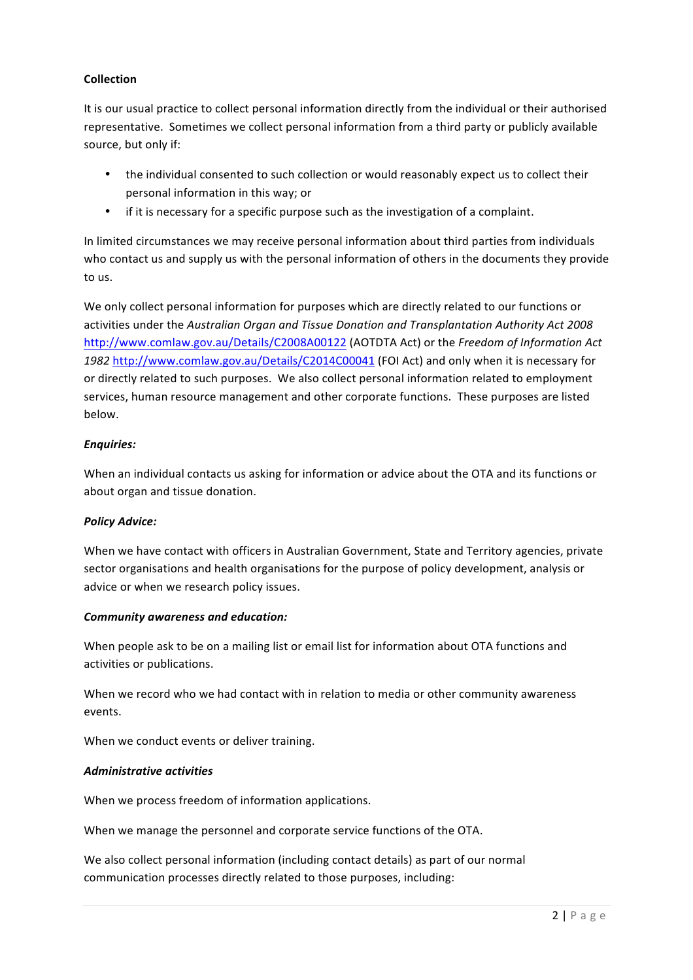# **Collection**

It is our usual practice to collect personal information directly from the individual or their authorised representative. Sometimes we collect personal information from a third party or publicly available source, but only if:

- the individual consented to such collection or would reasonably expect us to collect their personal information in this way; or
- if it is necessary for a specific purpose such as the investigation of a complaint.

In limited circumstances we may receive personal information about third parties from individuals who contact us and supply us with the personal information of others in the documents they provide to us.

We only collect personal information for purposes which are directly related to our functions or activities under the Australian Organ and Tissue Donation and Transplantation Authority Act 2008 http://www.comlaw.gov.au/Details/C2008A00122 (AOTDTA Act) or the *Freedom of Information Act* 1982 http://www.comlaw.gov.au/Details/C2014C00041 (FOI Act) and only when it is necessary for or directly related to such purposes. We also collect personal information related to employment services, human resource management and other corporate functions. These purposes are listed below.

# *Enquiries:*

When an individual contacts us asking for information or advice about the OTA and its functions or about organ and tissue donation.

### *Policy Advice:*

When we have contact with officers in Australian Government, State and Territory agencies, private sector organisations and health organisations for the purpose of policy development, analysis or advice or when we research policy issues.

### *Community awareness and education:*

When people ask to be on a mailing list or email list for information about OTA functions and activities or publications.

When we record who we had contact with in relation to media or other community awareness events.

When we conduct events or deliver training.

### *Administrative activities*

When we process freedom of information applications.

When we manage the personnel and corporate service functions of the OTA.

We also collect personal information (including contact details) as part of our normal communication processes directly related to those purposes, including: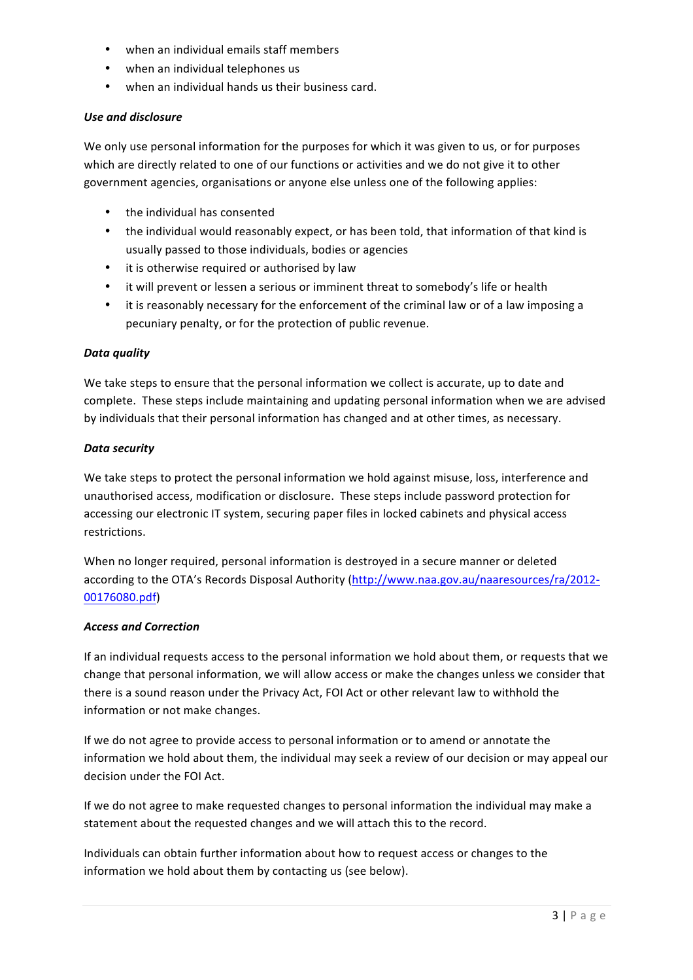- when an individual emails staff members
- when an individual telephones us
- when an individual hands us their business card.

### *Use and disclosure*

We only use personal information for the purposes for which it was given to us, or for purposes which are directly related to one of our functions or activities and we do not give it to other government agencies, organisations or anyone else unless one of the following applies:

- the individual has consented
- the individual would reasonably expect, or has been told, that information of that kind is usually passed to those individuals, bodies or agencies
- it is otherwise required or authorised by law
- it will prevent or lessen a serious or imminent threat to somebody's life or health
- it is reasonably necessary for the enforcement of the criminal law or of a law imposing a pecuniary penalty, or for the protection of public revenue.

### Data *auality*

We take steps to ensure that the personal information we collect is accurate, up to date and complete. These steps include maintaining and updating personal information when we are advised by individuals that their personal information has changed and at other times, as necessary.

#### *Data security*

We take steps to protect the personal information we hold against misuse, loss, interference and unauthorised access, modification or disclosure. These steps include password protection for accessing our electronic IT system, securing paper files in locked cabinets and physical access restrictions.

When no longer required, personal information is destroyed in a secure manner or deleted according to the OTA's Records Disposal Authority (http://www.naa.gov.au/naaresources/ra/2012-00176080.pdf)

### *Access and Correction*

If an individual requests access to the personal information we hold about them, or requests that we change that personal information, we will allow access or make the changes unless we consider that there is a sound reason under the Privacy Act, FOI Act or other relevant law to withhold the information or not make changes.

If we do not agree to provide access to personal information or to amend or annotate the information we hold about them, the individual may seek a review of our decision or may appeal our decision under the FOI Act.

If we do not agree to make requested changes to personal information the individual may make a statement about the requested changes and we will attach this to the record.

Individuals can obtain further information about how to request access or changes to the information we hold about them by contacting us (see below).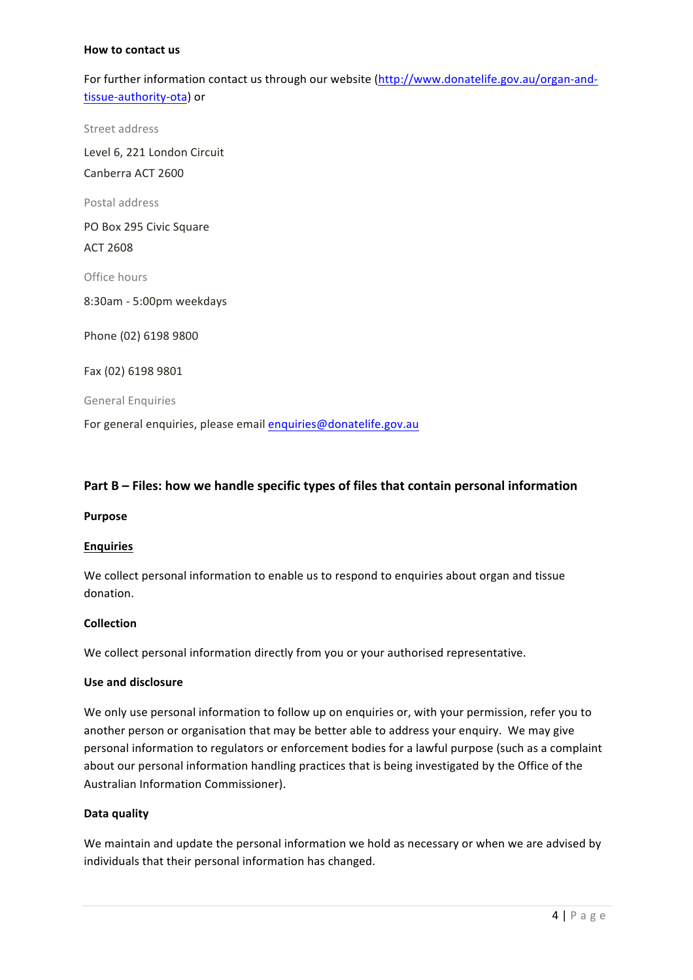#### **How to contact us**

For further information contact us through our website (http://www.donatelife.gov.au/organ-andtissue-authority-ota) or

Street address

Level 6, 221 London Circuit Canberra ACT 2600

Postal address

PO Box 295 Civic Square

ACT 2608

Office hours

8:30am - 5:00pm weekdays

Phone (02) 6198 9800

Fax (02) 6198 9801

General Enquiries

For general enquiries, please email enquiries@donatelife.gov.au

### **Part B – Files: how we handle specific types of files that contain personal information**

#### **Purpose**

#### **Enquiries**

We collect personal information to enable us to respond to enquiries about organ and tissue donation.

#### **Collection**

We collect personal information directly from you or your authorised representative.

#### **Use and disclosure**

We only use personal information to follow up on enquiries or, with your permission, refer you to another person or organisation that may be better able to address your enquiry. We may give personal information to regulators or enforcement bodies for a lawful purpose (such as a complaint about our personal information handling practices that is being investigated by the Office of the Australian Information Commissioner).

#### **Data quality**

We maintain and update the personal information we hold as necessary or when we are advised by individuals that their personal information has changed.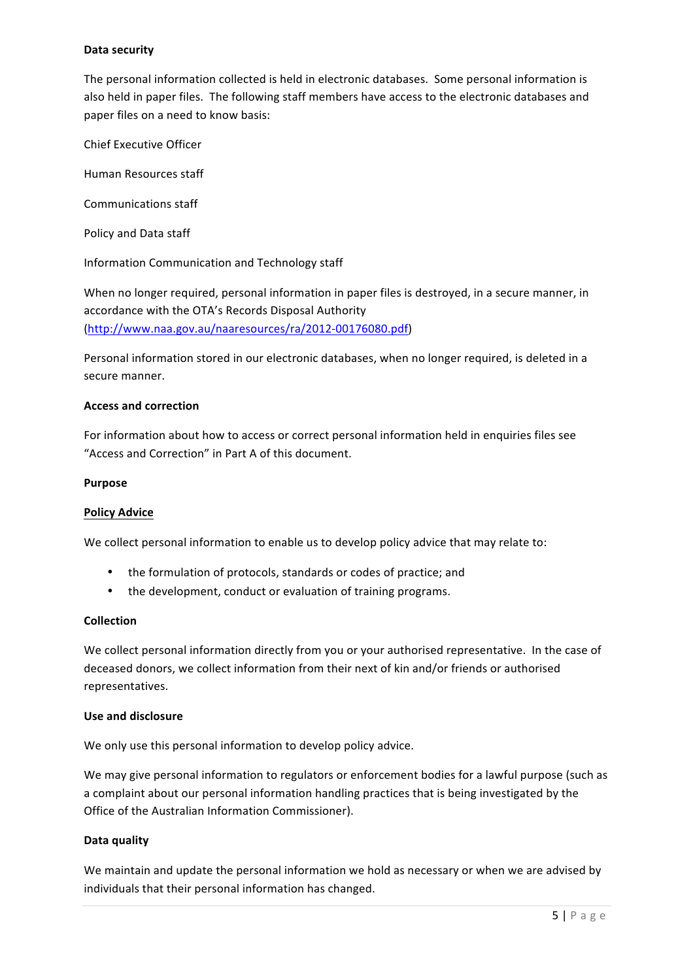## **Data security**

The personal information collected is held in electronic databases. Some personal information is also held in paper files. The following staff members have access to the electronic databases and paper files on a need to know basis:

Chief Executive Officer

Human Resources staff

Communications staff

Policy and Data staff

Information Communication and Technology staff

When no longer required, personal information in paper files is destroyed, in a secure manner, in accordance with the OTA's Records Disposal Authority (http://www.naa.gov.au/naaresources/ra/2012-00176080.pdf)

Personal information stored in our electronic databases, when no longer required, is deleted in a secure manner.

#### **Access and correction**

For information about how to access or correct personal information held in enquiries files see "Access and Correction" in Part A of this document.

#### **Purpose**

#### **Policy Advice**

We collect personal information to enable us to develop policy advice that may relate to:

- the formulation of protocols, standards or codes of practice; and
- the development, conduct or evaluation of training programs.

#### **Collection**

We collect personal information directly from you or your authorised representative. In the case of deceased donors, we collect information from their next of kin and/or friends or authorised representatives.

#### **Use and disclosure**

We only use this personal information to develop policy advice.

We may give personal information to regulators or enforcement bodies for a lawful purpose (such as a complaint about our personal information handling practices that is being investigated by the Office of the Australian Information Commissioner).

#### **Data quality**

We maintain and update the personal information we hold as necessary or when we are advised by individuals that their personal information has changed.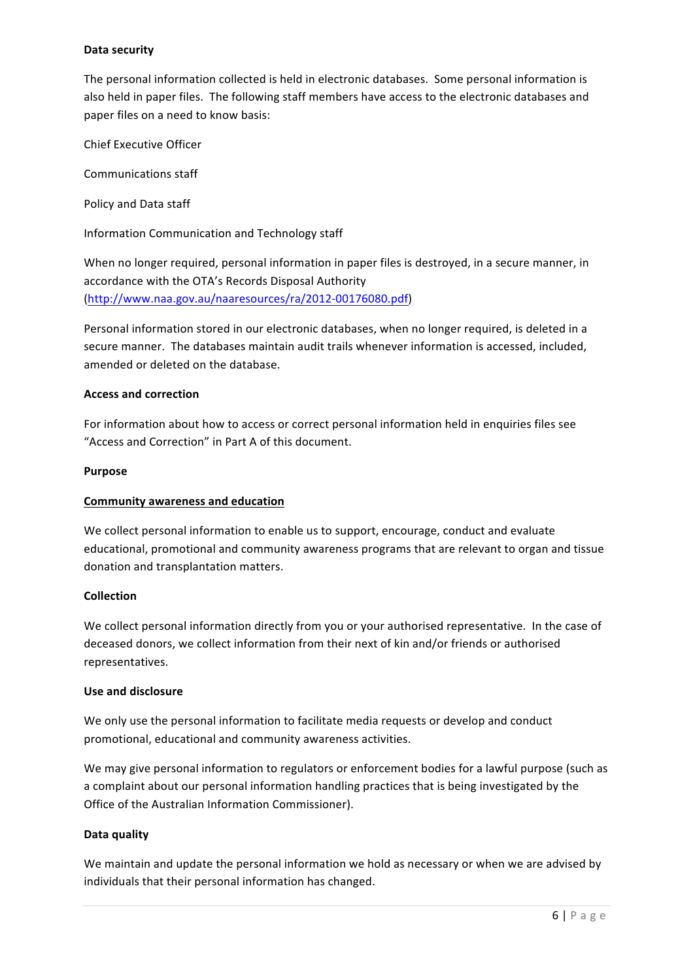# **Data security**

The personal information collected is held in electronic databases. Some personal information is also held in paper files. The following staff members have access to the electronic databases and paper files on a need to know basis:

Chief Executive Officer

Communications staff

Policy and Data staff

Information Communication and Technology staff

When no longer required, personal information in paper files is destroyed, in a secure manner, in accordance with the OTA's Records Disposal Authority (http://www.naa.gov.au/naaresources/ra/2012-00176080.pdf)

Personal information stored in our electronic databases, when no longer required, is deleted in a secure manner. The databases maintain audit trails whenever information is accessed, included, amended or deleted on the database.

### **Access and correction**

For information about how to access or correct personal information held in enquiries files see "Access and Correction" in Part A of this document.

#### **Purpose**

### **Community awareness and education**

We collect personal information to enable us to support, encourage, conduct and evaluate educational, promotional and community awareness programs that are relevant to organ and tissue donation and transplantation matters.

### **Collection**

We collect personal information directly from you or your authorised representative. In the case of deceased donors, we collect information from their next of kin and/or friends or authorised representatives.

### **Use and disclosure**

We only use the personal information to facilitate media requests or develop and conduct promotional, educational and community awareness activities.

We may give personal information to regulators or enforcement bodies for a lawful purpose (such as a complaint about our personal information handling practices that is being investigated by the Office of the Australian Information Commissioner).

### **Data quality**

We maintain and update the personal information we hold as necessary or when we are advised by individuals that their personal information has changed.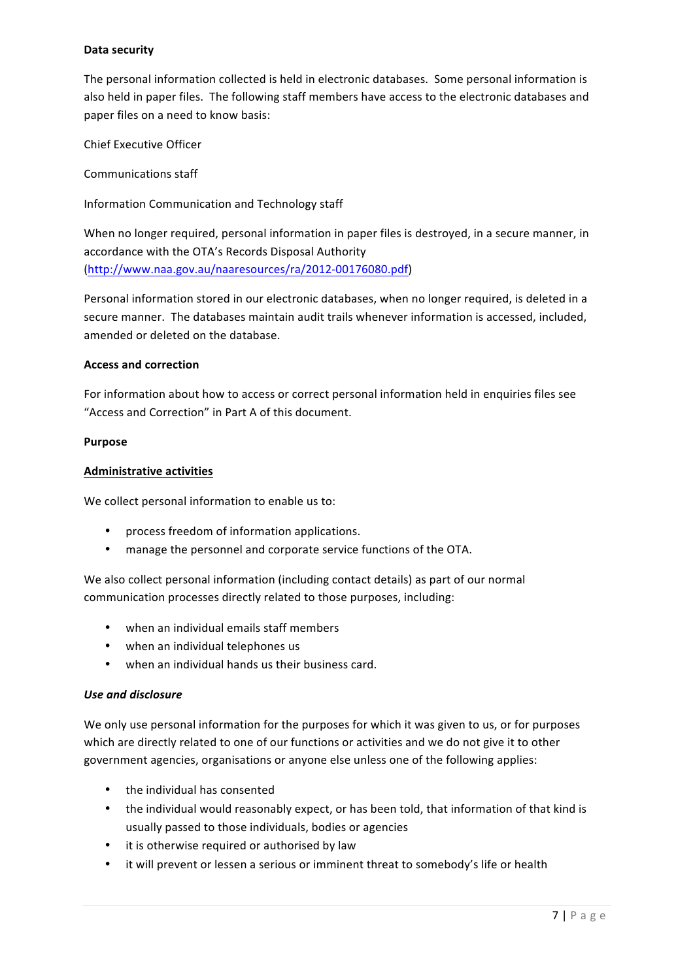# **Data security**

The personal information collected is held in electronic databases. Some personal information is also held in paper files. The following staff members have access to the electronic databases and paper files on a need to know basis:

Chief Executive Officer

Communications staff

Information Communication and Technology staff

When no longer required, personal information in paper files is destroyed, in a secure manner, in accordance with the OTA's Records Disposal Authority (http://www.naa.gov.au/naaresources/ra/2012-00176080.pdf)

Personal information stored in our electronic databases, when no longer required, is deleted in a secure manner. The databases maintain audit trails whenever information is accessed, included, amended or deleted on the database.

### **Access and correction**

For information about how to access or correct personal information held in enquiries files see "Access and Correction" in Part A of this document.

#### **Purpose**

### **Administrative activities**

We collect personal information to enable us to:

- process freedom of information applications.
- manage the personnel and corporate service functions of the OTA.

We also collect personal information (including contact details) as part of our normal communication processes directly related to those purposes, including:

- when an individual emails staff members
- when an individual telephones us
- when an individual hands us their business card.

### *Use and disclosure*

We only use personal information for the purposes for which it was given to us, or for purposes which are directly related to one of our functions or activities and we do not give it to other government agencies, organisations or anyone else unless one of the following applies:

- $\bullet$  the individual has consented
- the individual would reasonably expect, or has been told, that information of that kind is usually passed to those individuals, bodies or agencies
- it is otherwise required or authorised by law
- it will prevent or lessen a serious or imminent threat to somebody's life or health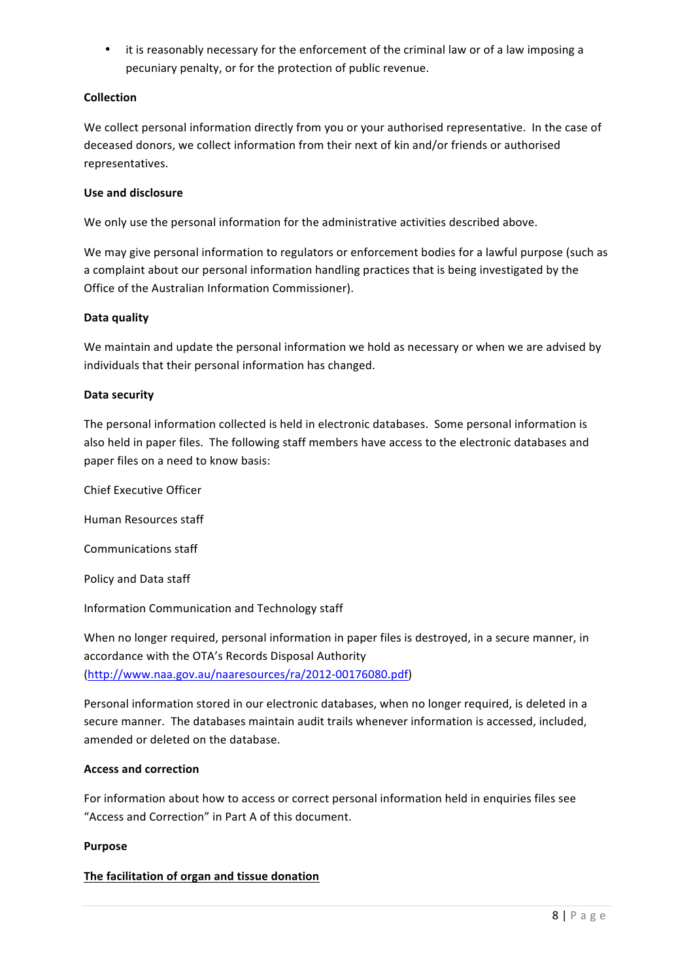• it is reasonably necessary for the enforcement of the criminal law or of a law imposing a pecuniary penalty, or for the protection of public revenue.

# **Collection**

We collect personal information directly from you or your authorised representative. In the case of deceased donors, we collect information from their next of kin and/or friends or authorised representatives.

### **Use and disclosure**

We only use the personal information for the administrative activities described above.

We may give personal information to regulators or enforcement bodies for a lawful purpose (such as a complaint about our personal information handling practices that is being investigated by the Office of the Australian Information Commissioner).

# **Data quality**

We maintain and update the personal information we hold as necessary or when we are advised by individuals that their personal information has changed.

# **Data security**

The personal information collected is held in electronic databases. Some personal information is also held in paper files. The following staff members have access to the electronic databases and paper files on a need to know basis:

Chief Executive Officer

Human Resources staff

Communications staff

Policy and Data staff

Information Communication and Technology staff

When no longer required, personal information in paper files is destroyed, in a secure manner, in accordance with the OTA's Records Disposal Authority (http://www.naa.gov.au/naaresources/ra/2012-00176080.pdf)

Personal information stored in our electronic databases, when no longer required, is deleted in a secure manner. The databases maintain audit trails whenever information is accessed, included, amended or deleted on the database.

### **Access and correction**

For information about how to access or correct personal information held in enquiries files see "Access and Correction" in Part A of this document.

### **Purpose**

# The facilitation of organ and tissue donation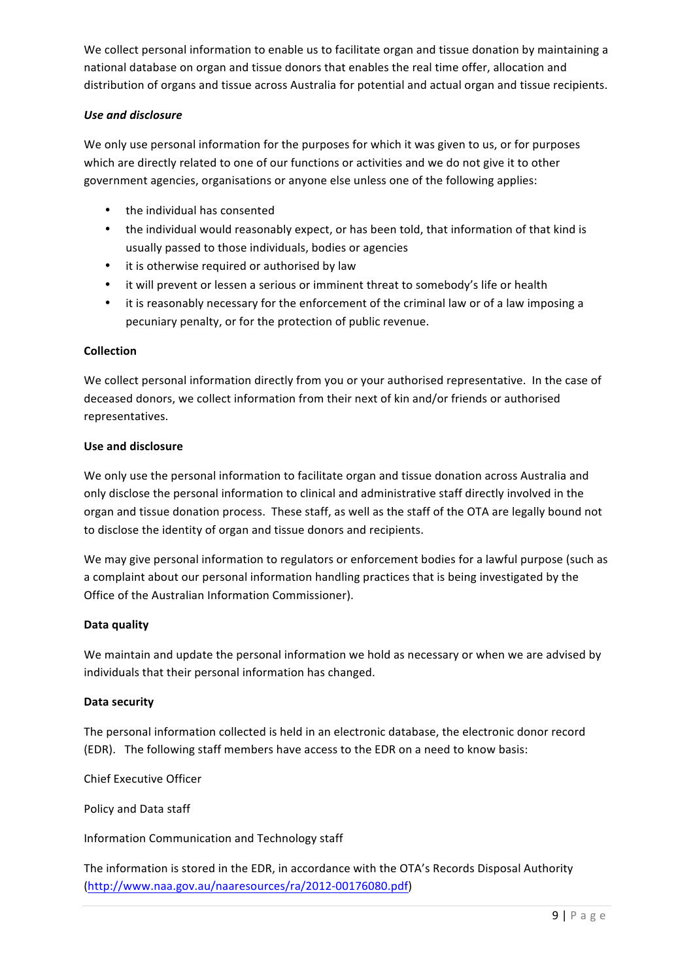We collect personal information to enable us to facilitate organ and tissue donation by maintaining a national database on organ and tissue donors that enables the real time offer, allocation and distribution of organs and tissue across Australia for potential and actual organ and tissue recipients.

# *Use and disclosure*

We only use personal information for the purposes for which it was given to us, or for purposes which are directly related to one of our functions or activities and we do not give it to other government agencies, organisations or anyone else unless one of the following applies:

- the individual has consented
- the individual would reasonably expect, or has been told, that information of that kind is usually passed to those individuals, bodies or agencies
- it is otherwise required or authorised by law
- it will prevent or lessen a serious or imminent threat to somebody's life or health
- it is reasonably necessary for the enforcement of the criminal law or of a law imposing a pecuniary penalty, or for the protection of public revenue.

### **Collection**

We collect personal information directly from you or your authorised representative. In the case of deceased donors, we collect information from their next of kin and/or friends or authorised representatives.

### **Use and disclosure**

We only use the personal information to facilitate organ and tissue donation across Australia and only disclose the personal information to clinical and administrative staff directly involved in the organ and tissue donation process. These staff, as well as the staff of the OTA are legally bound not to disclose the identity of organ and tissue donors and recipients.

We may give personal information to regulators or enforcement bodies for a lawful purpose (such as a complaint about our personal information handling practices that is being investigated by the Office of the Australian Information Commissioner).

### **Data quality**

We maintain and update the personal information we hold as necessary or when we are advised by individuals that their personal information has changed.

### **Data security**

The personal information collected is held in an electronic database, the electronic donor record (EDR). The following staff members have access to the EDR on a need to know basis:

Chief Executive Officer

Policy and Data staff

Information Communication and Technology staff

The information is stored in the EDR, in accordance with the OTA's Records Disposal Authority (http://www.naa.gov.au/naaresources/ra/2012-00176080.pdf)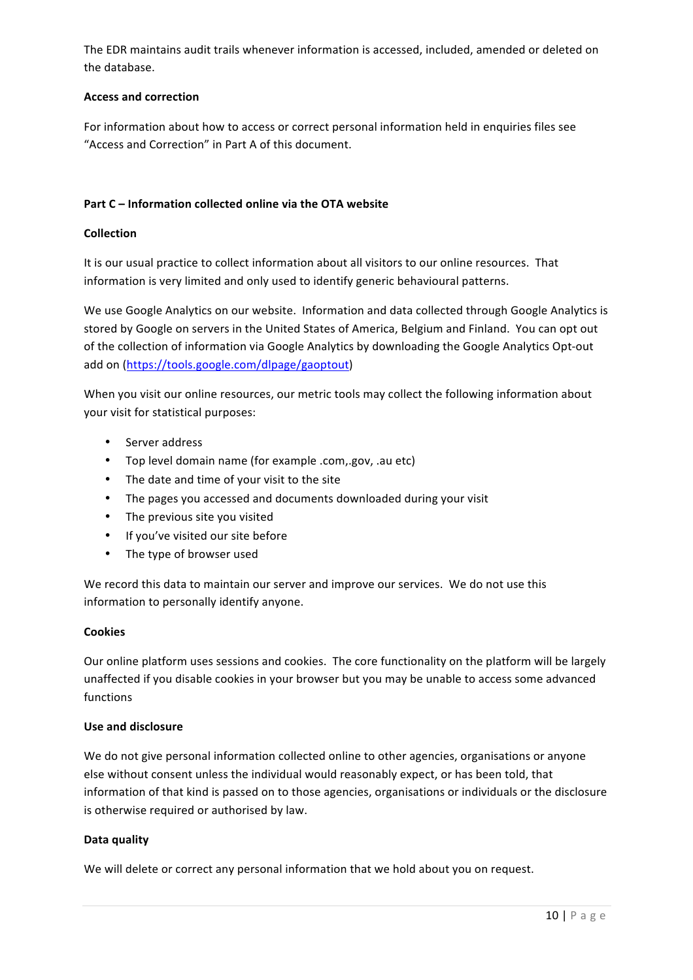The EDR maintains audit trails whenever information is accessed, included, amended or deleted on the database.

# **Access and correction**

For information about how to access or correct personal information held in enquiries files see "Access and Correction" in Part A of this document.

# **Part C** – Information collected online via the OTA website

### **Collection**

It is our usual practice to collect information about all visitors to our online resources. That information is very limited and only used to identify generic behavioural patterns.

We use Google Analytics on our website. Information and data collected through Google Analytics is stored by Google on servers in the United States of America, Belgium and Finland. You can opt out of the collection of information via Google Analytics by downloading the Google Analytics Opt-out add on (https://tools.google.com/dlpage/gaoptout)

When you visit our online resources, our metric tools may collect the following information about your visit for statistical purposes:

- Server address
- Top level domain name (for example .com,.gov, .au etc)
- The date and time of your visit to the site
- The pages you accessed and documents downloaded during your visit
- The previous site you visited
- If you've visited our site before
- The type of browser used

We record this data to maintain our server and improve our services. We do not use this information to personally identify anyone.

## **Cookies**

Our online platform uses sessions and cookies. The core functionality on the platform will be largely unaffected if you disable cookies in your browser but you may be unable to access some advanced functions

### **Use and disclosure**

We do not give personal information collected online to other agencies, organisations or anyone else without consent unless the individual would reasonably expect, or has been told, that information of that kind is passed on to those agencies, organisations or individuals or the disclosure is otherwise required or authorised by law.

### **Data quality**

We will delete or correct any personal information that we hold about you on request.